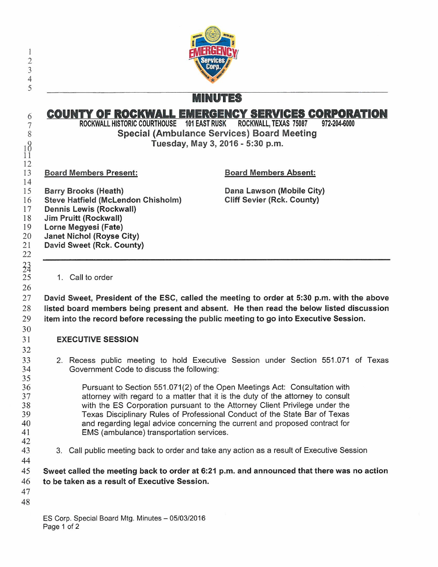

MINUTES

## **COUNTY OF ROCKWALL EMERGENCY SERVICES CORPORATION**

ROCKWALL HISTORIC COURTHOUSE 101 EAST RUSK ROCKWALL, TEXAS 75087 972-204-6000 Special (Ambulance Services) Board Meeting Tuesday, May 3, 2016 - 5:30 p.m.

Board Members Present:

6 7 8

 $\frac{1}{1}$ 12 13

34 25 26

## Board Members Absent:

14 15 16 17 18 19 20 21 22 Barry Brooks (Heath) Steve Hatfield (McLendon Chisholm) Dennis Lewis (Rockwall) Jim Pruitt (Rockwall) Lorne Megyesi (Fate) **Janet Nichol (Royse City)** David Sweet (Rck. County)

Dana Lawson (Mobile City) Cliff Sevier (Rck. County)

1. Call to order

27 28 29 David Sweet, President of the ESC, called the meeting to order at 5:30 p.m. with the above listed board members being present and absent. He then read the below listed discussion item into the record before recessing the public meeting to go into Executive Session.

## EXECUTIVE SESSION

2. Recess public meeting to hold Executive Session under Section 551. 071 of Texas Government Code to discuss the following:

Pursuant to Section 551.071(2) of the Open Meetings Act: Consultation with attorney with regard to a matter that it is the duty of the attorney to consult with the ES Corporation pursuant to the Attorney Client Privilege under the Texas Disciplinary Rules of Professional Conduct of the State Bar of Texas and regarding legal advice concerning the current and proposed contract for EMS ( ambulance) transportation services.

- 42 43
- 3. Call public meeting back to order and take any action as a result of Executive Session

45 46 Sweet called the meeting back to order at 6:21 p.m. and announced that there was no action to be taken as a result of Executive Session.

47

44

48